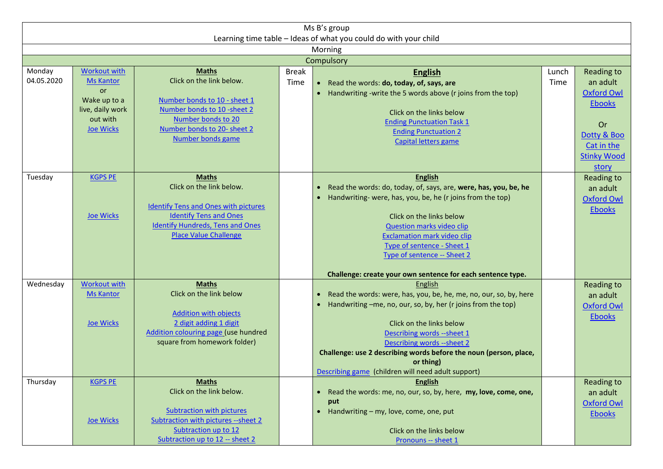| Ms B's group                                                     |                           |                                             |              |                                                                              |       |                    |  |  |  |  |  |
|------------------------------------------------------------------|---------------------------|---------------------------------------------|--------------|------------------------------------------------------------------------------|-------|--------------------|--|--|--|--|--|
| Learning time table - Ideas of what you could do with your child |                           |                                             |              |                                                                              |       |                    |  |  |  |  |  |
| Morning                                                          |                           |                                             |              |                                                                              |       |                    |  |  |  |  |  |
| Compulsory                                                       |                           |                                             |              |                                                                              |       |                    |  |  |  |  |  |
| Monday                                                           | <b>Workout with</b>       | <b>Maths</b>                                | <b>Break</b> | <b>English</b>                                                               | Lunch | Reading to         |  |  |  |  |  |
| 04.05.2020                                                       | <b>Ms Kantor</b>          | Click on the link below.                    | Time         | Read the words: do, today, of, says, are<br>$\bullet$                        | Time  | an adult           |  |  |  |  |  |
|                                                                  | <b>or</b><br>Wake up to a | Number bonds to 10 - sheet 1                |              | • Handwriting -write the 5 words above (r joins from the top)                |       | <b>Oxford Owl</b>  |  |  |  |  |  |
|                                                                  | live, daily work          | Number bonds to 10 -sheet 2                 |              | Click on the links below                                                     |       | <b>Ebooks</b>      |  |  |  |  |  |
|                                                                  | out with                  | Number bonds to 20                          |              | <b>Ending Punctuation Task 1</b>                                             |       |                    |  |  |  |  |  |
|                                                                  | <b>Joe Wicks</b>          | Number bonds to 20- sheet 2                 |              | <b>Ending Punctuation 2</b>                                                  |       | Or                 |  |  |  |  |  |
|                                                                  |                           | <b>Number bonds game</b>                    |              | Capital letters game                                                         |       | Dotty & Boo        |  |  |  |  |  |
|                                                                  |                           |                                             |              |                                                                              |       | Cat in the         |  |  |  |  |  |
|                                                                  |                           |                                             |              |                                                                              |       | <b>Stinky Wood</b> |  |  |  |  |  |
|                                                                  |                           |                                             |              |                                                                              |       | story              |  |  |  |  |  |
| Tuesday                                                          | <b>KGPS PE</b>            | <b>Maths</b><br>Click on the link below.    |              | <b>English</b>                                                               |       | Reading to         |  |  |  |  |  |
|                                                                  |                           |                                             |              | Read the words: do, today, of, says, are, were, has, you, be, he             |       | an adult           |  |  |  |  |  |
|                                                                  |                           | <b>Identify Tens and Ones with pictures</b> |              | Handwriting- were, has, you, be, he (r joins from the top)                   |       | <b>Oxford Owl</b>  |  |  |  |  |  |
|                                                                  | Joe Wicks                 | <b>Identify Tens and Ones</b>               |              | Click on the links below                                                     |       | <b>Ebooks</b>      |  |  |  |  |  |
|                                                                  |                           | <b>Identify Hundreds, Tens and Ones</b>     |              | <b>Question marks video clip</b>                                             |       |                    |  |  |  |  |  |
|                                                                  |                           | <b>Place Value Challenge</b>                |              | <b>Exclamation mark video clip</b>                                           |       |                    |  |  |  |  |  |
|                                                                  |                           |                                             |              | Type of sentence - Sheet 1                                                   |       |                    |  |  |  |  |  |
|                                                                  |                           |                                             |              | Type of sentence -- Sheet 2                                                  |       |                    |  |  |  |  |  |
|                                                                  |                           |                                             |              |                                                                              |       |                    |  |  |  |  |  |
|                                                                  |                           |                                             |              | Challenge: create your own sentence for each sentence type.                  |       |                    |  |  |  |  |  |
| Wednesday                                                        | <b>Workout with</b>       | <b>Maths</b><br>Click on the link below     |              | English                                                                      |       | Reading to         |  |  |  |  |  |
|                                                                  | <b>Ms Kantor</b>          |                                             |              | Read the words: were, has, you, be, he, me, no, our, so, by, here            |       | an adult           |  |  |  |  |  |
|                                                                  |                           | <b>Addition with objects</b>                |              | Handwriting -me, no, our, so, by, her (r joins from the top)                 |       | <b>Oxford Owl</b>  |  |  |  |  |  |
|                                                                  | Joe Wicks                 | 2 digit adding 1 digit                      |              | Click on the links below                                                     |       | <b>Ebooks</b>      |  |  |  |  |  |
|                                                                  |                           | Addition colouring page (use hundred        |              | Describing words -- sheet 1                                                  |       |                    |  |  |  |  |  |
|                                                                  |                           | square from homework folder)                |              | Describing words --sheet 2                                                   |       |                    |  |  |  |  |  |
|                                                                  |                           |                                             |              | Challenge: use 2 describing words before the noun (person, place,            |       |                    |  |  |  |  |  |
|                                                                  |                           |                                             |              | or thing)                                                                    |       |                    |  |  |  |  |  |
|                                                                  |                           |                                             |              | Describing game (children will need adult support)                           |       |                    |  |  |  |  |  |
| Thursday                                                         | <b>KGPS PE</b>            | <b>Maths</b>                                |              | <b>English</b>                                                               |       | Reading to         |  |  |  |  |  |
|                                                                  |                           | Click on the link below.                    |              | Read the words: me, no, our, so, by, here, my, love, come, one,<br>$\bullet$ |       | an adult           |  |  |  |  |  |
|                                                                  |                           | <b>Subtraction with pictures</b>            |              | put                                                                          |       | <b>Oxford Owl</b>  |  |  |  |  |  |
|                                                                  | Joe Wicks                 | Subtraction with pictures --sheet 2         |              | Handwriting - my, love, come, one, put<br>$\bullet$                          |       | <b>Ebooks</b>      |  |  |  |  |  |
|                                                                  |                           | Subtraction up to 12                        |              | Click on the links below                                                     |       |                    |  |  |  |  |  |
|                                                                  |                           | Subtraction up to 12 -- sheet 2             |              | Pronouns -- sheet 1                                                          |       |                    |  |  |  |  |  |